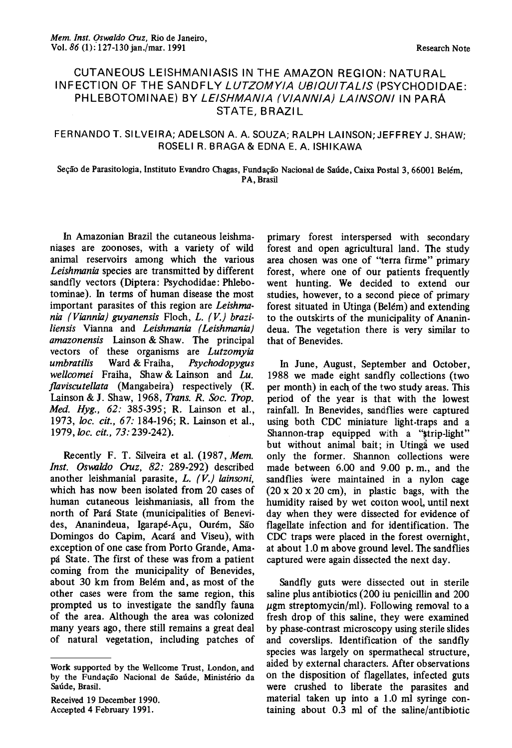## CUTANEOUS LEISHMANIASIS IN THE AMAZON REGION: NATURAL INFECTION OF THE SANDFLY LUTZOMYIA UBIQUITALIS (PSYCHODIDAE: PHLEBOTOMINAE) BY LE/SHMAN/A (V/ANN/A) LA/NSON/ IN PARA STATE, BRAZI L

## FERNANDO T. SILVEIRA; ADELSON A. A. SOUZA; RALPH LAINSON; JEFFREY J. SHAW; ROSELI R. BRAGA& EDNA E. A.ISHIKAWA

## Seção de Parasitologia, Instituto Evandro Olagas, Fundação Nacional de Saúde, Caixa Postal 3, 66001 Belém, PA, Brasil

In Amazonian Brazil the cutaneous leishmaniases are zoonoses, with a variety of wild animal reservoirs among which the various Leishmania species are transmitted by different sandfly vectors (Diptera: Psychodidae: Phlebotominae). In terms of human disease the most important parasites of this region are Leishmania (Viannia) guyanensis Floch, L. (V.) braziliensis Vianna and Leishmania (Leishmania) amazonensis Lainson & Shaw. The principal vectors of these organisms are Lutzomyia umbratilis Ward & Fraiha, Psychodopygus wellcomei Fraiha, Shaw & Lainson and Lu. flaviscutellata (Mangabeira) respectively (R. Lainson & J. Shaw, 1968, Trans. R. Soc. Trop. Med. Hyg., 62: 385-395; R. Lainson et al., 1973, loc. cit., 67: 184-196; R. Lainson et al., 1979, loc. cit., 73: 239-242).

Recently F. T. Silveira et al. (1987, Mem. *Inst. Oswaldo Cruz, 82:* 289-292) described another leishmanial parasite, L. (V.) lainsoni, which has now been isolated from 20 cases of human cutaneous leishmaniasis, alI from the north of Pará State (municipalities of Benevides, Ananindeua, Igarapé-Açu, Ourém, São Domingos do Capim, Acará and Viseu), with exception of one case from Porto Grande, Amapá State. The first of these was from a patient coming from the municipality of Benevides, about 30 km from Belém and, as most of the other cases were from the same region, this prompted us to investigate the sandfly fauna of the area. Although the area was colonized many years ago, there still remains a great deal of natural vegetation, including patches of

Received 19 December 1990. Accepted 4 February 1991.

primary forest interspersed with secondary forest and open agricultural land. The study area chosen was one of "terra firme" primary forest, where one of our patients frequently went hunting. We decided to extend our studies, however, to a second piece of primary forest situated in Utinga (Belém) and extending to the outskirts of the municipality of Ananindeua. The vegetation there is very similar to that of Benevides.

In June, August, September and October, 1988 we made eight sandfly collections (two per month) in each of the two study areas. This period of the year is that with the lowest rainfall. In Benevides, sandflies were captured using both CDC miniature light-traps and a Shannon-trap equipped with a "strip-light" but without animal bait; in Utingã we used only the former. Shannon colIections were made between 6.00 and 9.00 p. m., and the sandflies were maintained in a nylon cage  $(20 \times 20 \times 20 \text{ cm})$ , in plastic bags, with the humidity raised by wet cotton wool, until next day when they were dissected for evidence of flagelIate infection and for identification. The CDC traps were placed in the forest overnight, at about 1.0 m above ground leveI. The sandflies captured were again dissected the next day.

Sandfly guts were dissected out in sterile saline plus antibiotics (200 iu penicillin and 200  $\mu$ gm streptomycin/ml). Following removal to a fresh drop of this saline, they were examined by phase-contrast microscopy using sterile slides and coverslips. Identification of the sandfly species was largely on spermathecal structure, aided by external characters. After observations on the disposition of flagellates, infected guts were crushed to liberate the parasites and material taken up into a 1.0 ml syringe containing about 0.3 ml of the saline/antibiotic

Work supported by the Wellcome Trust, London, and by the Fundação Nacional de Saúde, Ministério da Saúde, Brasil.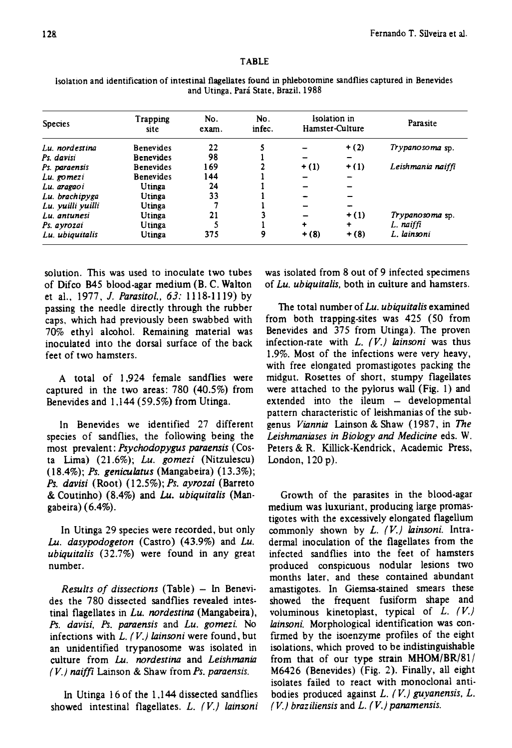## TABLE

| <b>Species</b><br>Lu. nordestina | Trapping<br>site<br><b>Benevides</b> | No.<br>exam.<br>22 | No.<br>infec. | Isolation in<br>Hamster-Culture |         | Parasite          |
|----------------------------------|--------------------------------------|--------------------|---------------|---------------------------------|---------|-------------------|
|                                  |                                      |                    |               |                                 | $+ (2)$ | Trypanosoma sp.   |
| Ps davisi                        | <b>Benevides</b>                     | 98                 |               |                                 |         |                   |
| Ps. paraensis                    | <b>Benevides</b>                     | 169                |               | $+ (1)$                         | $+ (1)$ | Leishmania naiffi |
| Lu. gomezi                       | <b>Benevides</b>                     | 144                |               | -                               |         |                   |
| Lu. aragaoi                      | Utinga                               | 24                 |               |                                 |         |                   |
| Lu. brachipyga                   | Utinga                               | 33                 |               |                                 |         |                   |
| Lu. yuilli yuilli                | Utinga                               |                    |               |                                 |         |                   |
| Lu. antunesi                     | Utinga                               | 21                 |               |                                 | $+ (1)$ | Trypanosoma sp.   |
| Ps. avrozai                      | Utinga                               |                    |               | ٠                               | ۰       | L. naiffi         |
| Lu. ubiquitalis                  | Utinga                               | 375                | 9             | $+ (8)$                         | $+ (8)$ | L. lainsoni       |

lsolation and identification of intestinal flagellates found in phlebotomine sandflies captured in Benevides and Utinga. Pará State. Brazil. 1988

solution. This was used to inoculate two tubes of Difco 845 blood-agar medium (B. C. Walton et al., 1977, *J. Parasitol.*, 63: 1118-1119) by passing the needle directly through the rubber caps. which had previously been swabbed with 70% ethyl alcohol. Remaining material was inoculated into the dorsal surface of the back feet of two hamsters.

A total of I ,924 female sandflies were captured in the two areas:  $780$  (40.5%) from Benevides and  $1,144$  (59.5%) from Utinga.

In Benevides we identified 27 different species of sandflies, the following being the most prevalent: Psychodopygus paraensis (Costa Lima) (21.6%); Lu. gomezi (Nitzulescu)  $(18.4\%)$ ; Ps. geniculatus (Mangabeira)  $(13.3\%)$ ; Ps. davisi (Root) (12.5%); Ps. ayrozai (Barreto & Coutinho) (8.4%) and Lu. ubiquitalis (Mangabeira) (6.4%).

In Utinga 29 species were recorded, but only Lu. dasypodogeton (Castro) (43.9%) and Lu. ubiquitalis (32.7%) were found in any great number.

Results of dissections (Table)  $-$  In Benevides the 780 dissected sandflies revealed intestinal flagellates in Lu. nordestina (Mangabeira), Ps. davisi, Ps. paraensis and Lu. gomezi. No infections with  $L.$  (V.) lainsoni were found, but an unidentified trypanosome was isolated in culture from Lu. nordestina and Leishmania  $(V<sub>1</sub>)$  naiffi Lainson & Shaw from Ps. paraensis.

In Utinga  $16$  of the 1,144 dissected sandflies showed intestinal flagellates.  $L.$   $(V.)$  lainsoni

was isolated from 8 out of 9 infected specimens of Lu. ubiquitalis, both in culture and hamsters.

The total number of Lu. ubiquitalis examined from both trapping-sites was 425 (50 from Benevides and 375 from Utinga). The proven infection-rate with  $L.$  (V.) lainsoni was thus 1.9%. Most of the infections were very heavy, with free elongated promastigotes packing the midgut. Rosettes of short, stumpy flagellates were attached to the pylorus wall (Fig. 1) and  $extended$  into the ileum  $-$  developmental pattern characteristic of leishmanias of the subgenus Viannia Lainson & Shaw (1987, in The Leishmaniases in Biology and Medicine eds. W. Peters & R. Killick-Kendrick, Academic Press, London,  $120 p$ ).

Growth of the parasites in the blood-agar medium was luxuriant, producing large promastigotes with the excessively elongated fIagelium commonly shown by  $L.$   $(V.)$  lainsoni. Intradermal inoculation of the fIageliates from the infected sandflies into the feet of hamsters produced conspicuous nodular lesions two months later, and these contained abundant amastigotes. In Giemsa-stained smears these showed the frequent fusiform shape and voluminous kinetoplast, typical of  $L$ .  $(V)$ lainsoni. Morphological identification was confirmed by the isoenzyme profiles of the eight isolations, which proved to be indistinguishable from that of our type strain  $MHOM/BR/81/$  $M6426$  (Benevides) (Fig. 2). Finally, all eight isolates failed to react with monoclonal antibodies produced against  $L$ . (V.) guyanensis,  $L$ .  $(V)$  braziliensis and  $L. (V)$  panamensis.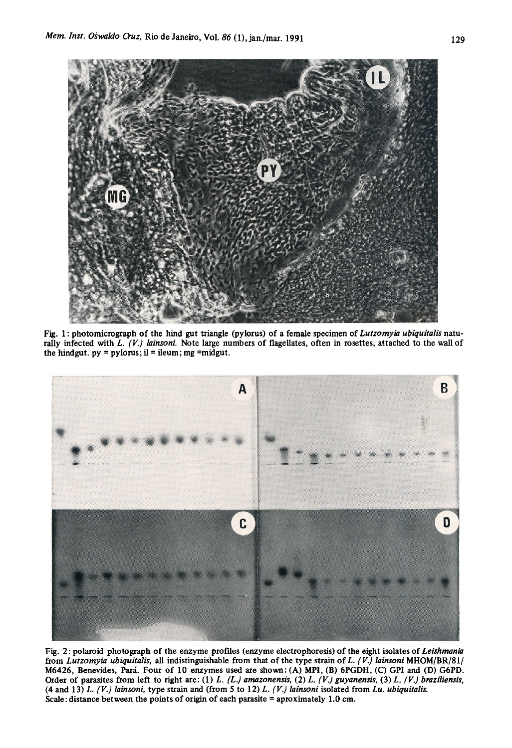

Fig. 1: photomicrograph of the hind gut triangle (pylorus) of a female specimen of Lutzomyia ubiquitalis naturally infected with L.  $(V)$  lainsoni. Note large numbers of flagellates, often in rosettes, attached to the wall of the hindgut.  $py = pylorus$ ; il = ileum; mg =midgut.



Fig. 2: polaroid photograph of the enzyme profiles (enzyme electrophoresis) of the eight isolates of Leishmania from Lutzomyia ubiquitalis, all indistinguishable from that of the type strain of L. (V.) lainsoni MHOM/BR/81/ M6426, Benevides, Pará. Four of 10 enzymes used are shown: (A) MPI, (B) 6PGDH, (C) GPI and (D) G6PD. Order of parasites from left to right are: (1) L. (L.) amazonensis, (2) L. (V.) guyanensis, (3) L. (V.) braziliensis, (4 and 13) L.  $(V)$  lainsoni, type strain and (from 5 to 12) L.  $(V)$  lainsoni isolated from Lu. ubiquitalis. Scale: distance between the points of origin of each parasite = aproximately 1.0 cm.